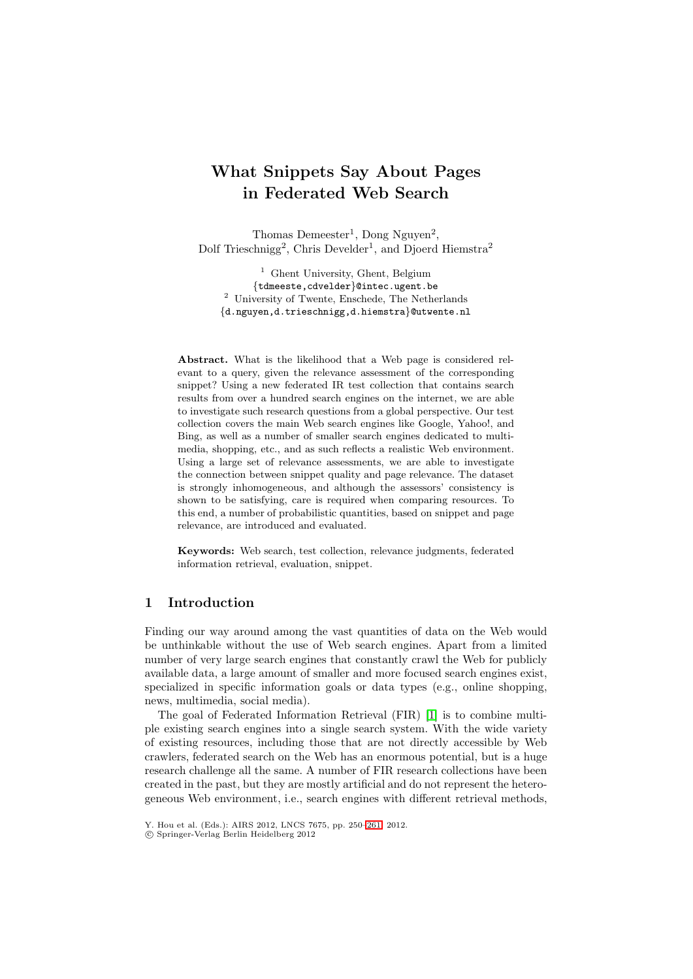# **What Snippets Say About Pages in Federated Web Search**

Thomas Demeester<sup>1</sup>, Dong Nguyen<sup>2</sup>, Dolf Trieschnigg<sup>2</sup>, Chris Develder<sup>1</sup>, and Djoerd Hiemstra<sup>2</sup>

<sup>1</sup> Ghent University, Ghent, Belgium {tdmeeste,cdvelder}@intec.ugent.be <sup>2</sup> University of Twente, Enschede, The Netherlands {d.nguyen,d.trieschnigg,d.hiemstra}@utwente.nl

**Abstract.** What is the likelihood that a Web page is considered relevant to a query, given the relevance assessment of the corresponding snippet? Using a new federated IR test collection that contains search results from over a hundred search engines on the internet, we are able to investigate such research questions from a global perspective. Our test collection covers the main Web search engines like Google, Yahoo!, and Bing, as well as a number of smaller search engines dedicated to multimedia, shopping, etc., and as such reflects a realistic Web environment. Using a large set of relevance assessments, we are able to investigate the connection between snippet quality and page relevance. The dataset is strongly inhomogeneous, and although the assessors' consistency is shown to be satisfying, care is required when comparing resources. To this end, a number of probabilistic quantities, based on snippet and page relevance, are introduced and evaluated.

**Keywords:** Web search, test collection, relevance judgments, federated information retrieval, evaluation, snippet.

## **1 Introduction**

Finding our way around among the vast quantities of data on the Web would be unthinkable without the use of Web search engines. Apart from a limited number of very large search engines that constantly crawl the Web for publicly available data, a large amount of smaller and more focused search engines exist, specialized in specific information goals or data types (e.g., online shopping, news, multimedia, social media).

The goal of Federated Information Retrieval (FIR) [\[1\]](#page-11-0) is to combine multiple existing search engines into a single search system. With the wide variety of existing resources, including those that are not directly accessible by Web crawlers, federated search on the Web has an enormous potential, but is a huge research challenge all the same. A number of FIR research collections have been created in the past, but they are mostly artificial and do not represent the heterogeneous Web environment, i.e., search engines with different retrieval methods,

Y. Hou et al. (Eds.): AIRS 2012, LNCS 7675, pp. 250[–261,](#page-11-1) 2012.

<sup>-</sup>c Springer-Verlag Berlin Heidelberg 2012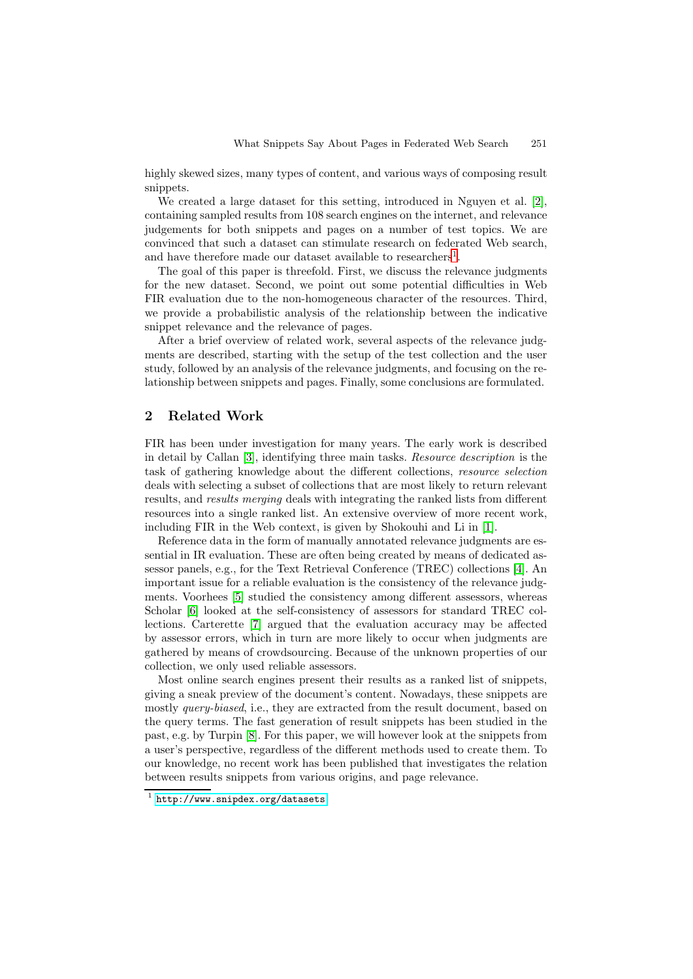highly skewed sizes, many types of content, and various ways of composing result snippets.

We created a large dataset for this setting, introduced in Nguyen et al. [\[2\]](#page-11-2), containing sampled results from 108 search engines on the internet, and relevance judgements for both snippets and pages on a number of test topics. We are convinced that such a dataset can stimulate research on federated Web search, and have therefore made our dataset available to researchers<sup>[1](#page-1-0)</sup>.

The goal of this paper is threefold. First, we discuss the relevance judgments for the new dataset. Second, we point out some potential difficulties in Web FIR evaluation due to the non-homogeneous character of the resources. Third, we provide a probabilistic analysis of the relationship between the indicative snippet relevance and the relevance of pages.

After a brief overview of related work, several aspects of the relevance judgments are described, starting with the setup of the test collection and the user study, followed by an analysis of the relevance judgments, and focusing on the relationship between snippets and pages. Finally, some conclusions are formulated.

# **2 Related Work**

FIR has been under investigation for many years. The early work is described in detail by Callan [\[3\]](#page-11-3), identifying three main tasks. *Resource description* is the task of gathering knowledge about the different collections, *resource selection* deals with selecting a subset of collections that are most likely to return relevant results, and *results merging* deals with integrating the ranked lists from different resources into a single ranked list. An extensive overview of more recent work, including FIR in the Web context, is given by Shokouhi and Li in [\[1\]](#page-11-0).

Reference data in the form of manually annotated relevance judgments are essential in IR evaluation. These are often being created by means of dedicated assessor panels, e.g., for the Text Retrieval Conference (TREC) collections [\[4\]](#page-11-4). An important issue for a reliable evaluation is the consistency of the relevance judgments. Voorhees [\[5\]](#page-11-5) studied the consistency among different assessors, whereas Scholar [\[6\]](#page-11-6) looked at the self-consistency of assessors for standard TREC collections. Carterette [\[7\]](#page-11-7) argued that the evaluation accuracy may be affected by assessor errors, which in turn are more likely to occur when judgments are gathered by means of crowdsourcing. Because of the unknown properties of our collection, we only used reliable assessors.

Most online search engines present their results as a ranked list of snippets, giving a sneak preview of the document's content. Nowadays, these snippets are mostly *query-biased*, i.e., they are extracted from the result document, based on the query terms. The fast generation of result snippets has been studied in the past, e.g. by Turpin [\[8\]](#page-11-8). For this paper, we will however look at the snippets from a user's perspective, regardless of the different methods used to create them. To our knowledge, no recent work has been published that investigates the relation between results snippets from various origins, and page relevance.

<span id="page-1-0"></span> $1$  <http://www.snipdex.org/datasets>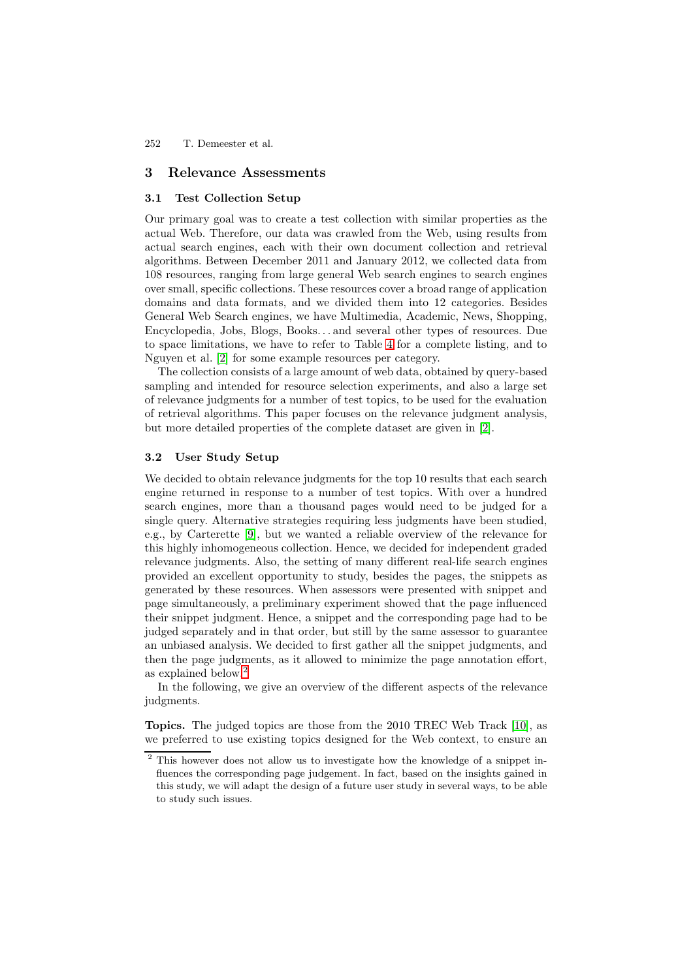## **3 Relevance Assessments**

## **3.1 Test Collection Setup**

Our primary goal was to create a test collection with similar properties as the actual Web. Therefore, our data was crawled from the Web, using results from actual search engines, each with their own document collection and retrieval algorithms. Between December 2011 and January 2012, we collected data from 108 resources, ranging from large general Web search engines to search engines over small, specific collections. These resources cover a broad range of application domains and data formats, and we divided them into 12 categories. Besides General Web Search engines, we have Multimedia, Academic, News, Shopping, Encyclopedia, Jobs, Blogs, Books. . . and several other types of resources. Due to space limitations, we have to refer to Table [4](#page-8-0) for a complete listing, and to Nguyen et al. [\[2\]](#page-11-2) for some example resources per category.

The collection consists of a large amount of web data, obtained by query-based sampling and intended for resource selection experiments, and also a large set of relevance judgments for a number of test topics, to be used for the evaluation of retrieval algorithms. This paper focuses on the relevance judgment analysis, but more detailed properties of the complete dataset are given in [\[2\]](#page-11-2).

## **3.2 User Study Setup**

We decided to obtain relevance judgments for the top 10 results that each search engine returned in response to a number of test topics. With over a hundred search engines, more than a thousand pages would need to be judged for a single query. Alternative strategies requiring less judgments have been studied, e.g., by Carterette [\[9\]](#page-11-9), but we wanted a reliable overview of the relevance for this highly inhomogeneous collection. Hence, we decided for independent graded relevance judgments. Also, the setting of many different real-life search engines provided an excellent opportunity to study, besides the pages, the snippets as generated by these resources. When assessors were presented with snippet and page simultaneously, a preliminary experiment showed that the page influenced their snippet judgment. Hence, a snippet and the corresponding page had to be judged separately and in that order, but still by the same assessor to guarantee an unbiased analysis. We decided to first gather all the snippet judgments, and then the page judgments, as it allowed to minimize the page annotation effort, as explained below.[2](#page-2-0)

In the following, we give an overview of the different aspects of the relevance judgments.

**Topics.** The judged topics are those from the 2010 TREC Web Track [\[10\]](#page-11-10), as we preferred to use existing topics designed for the Web context, to ensure an

<span id="page-2-0"></span><sup>&</sup>lt;sup>2</sup> This however does not allow us to investigate how the knowledge of a snippet influences the corresponding page judgement. In fact, based on the insights gained in this study, we will adapt the design of a future user study in several ways, to be able to study such issues.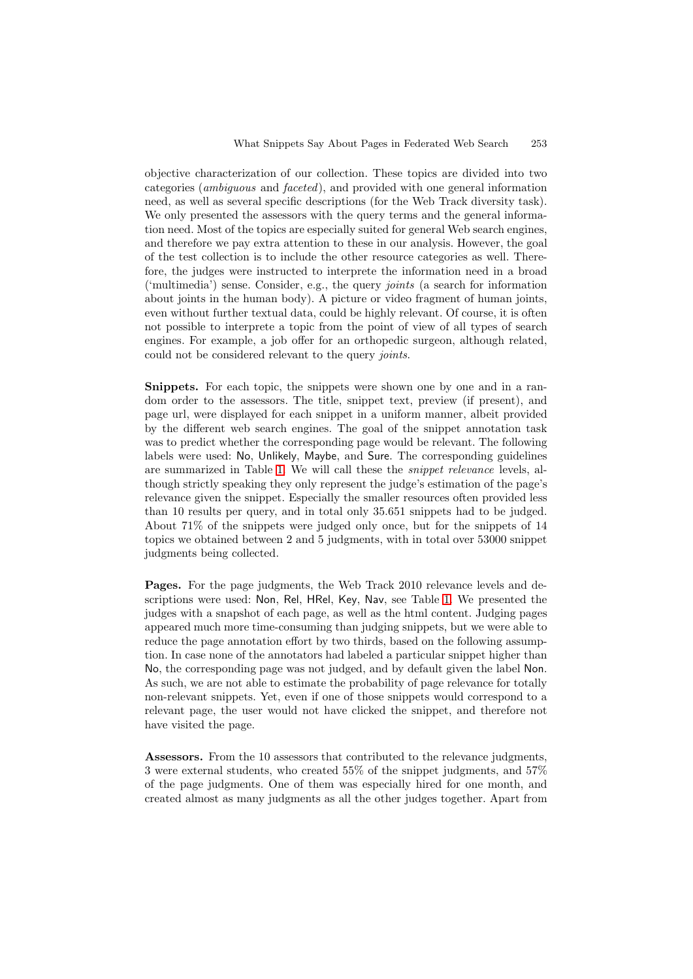objective characterization of our collection. These topics are divided into two categories (*ambiguous* and *faceted*), and provided with one general information need, as well as several specific descriptions (for the Web Track diversity task). We only presented the assessors with the query terms and the general information need. Most of the topics are especially suited for general Web search engines, and therefore we pay extra attention to these in our analysis. However, the goal of the test collection is to include the other resource categories as well. Therefore, the judges were instructed to interprete the information need in a broad ('multimedia') sense. Consider, e.g., the query *joints* (a search for information about joints in the human body). A picture or video fragment of human joints, even without further textual data, could be highly relevant. Of course, it is often not possible to interprete a topic from the point of view of all types of search engines. For example, a job offer for an orthopedic surgeon, although related, could not be considered relevant to the query *joints*.

**Snippets.** For each topic, the snippets were shown one by one and in a random order to the assessors. The title, snippet text, preview (if present), and page url, were displayed for each snippet in a uniform manner, albeit provided by the different web search engines. The goal of the snippet annotation task was to predict whether the corresponding page would be relevant. The following labels were used: No, Unlikely, Maybe, and Sure. The corresponding guidelines are summarized in Table [1.](#page-4-0) We will call these the *snippet relevance* levels, although strictly speaking they only represent the judge's estimation of the page's relevance given the snippet. Especially the smaller resources often provided less than 10 results per query, and in total only 35.651 snippets had to be judged. About 71% of the snippets were judged only once, but for the snippets of 14 topics we obtained between 2 and 5 judgments, with in total over 53000 snippet judgments being collected.

Pages. For the page judgments, the Web Track 2010 relevance levels and descriptions were used: Non, Rel, HRel, Key, Nav, see Table [1.](#page-4-0) We presented the judges with a snapshot of each page, as well as the html content. Judging pages appeared much more time-consuming than judging snippets, but we were able to reduce the page annotation effort by two thirds, based on the following assumption. In case none of the annotators had labeled a particular snippet higher than No, the corresponding page was not judged, and by default given the label Non. As such, we are not able to estimate the probability of page relevance for totally non-relevant snippets. Yet, even if one of those snippets would correspond to a relevant page, the user would not have clicked the snippet, and therefore not have visited the page.

**Assessors.** From the 10 assessors that contributed to the relevance judgments, 3 were external students, who created 55% of the snippet judgments, and 57% of the page judgments. One of them was especially hired for one month, and created almost as many judgments as all the other judges together. Apart from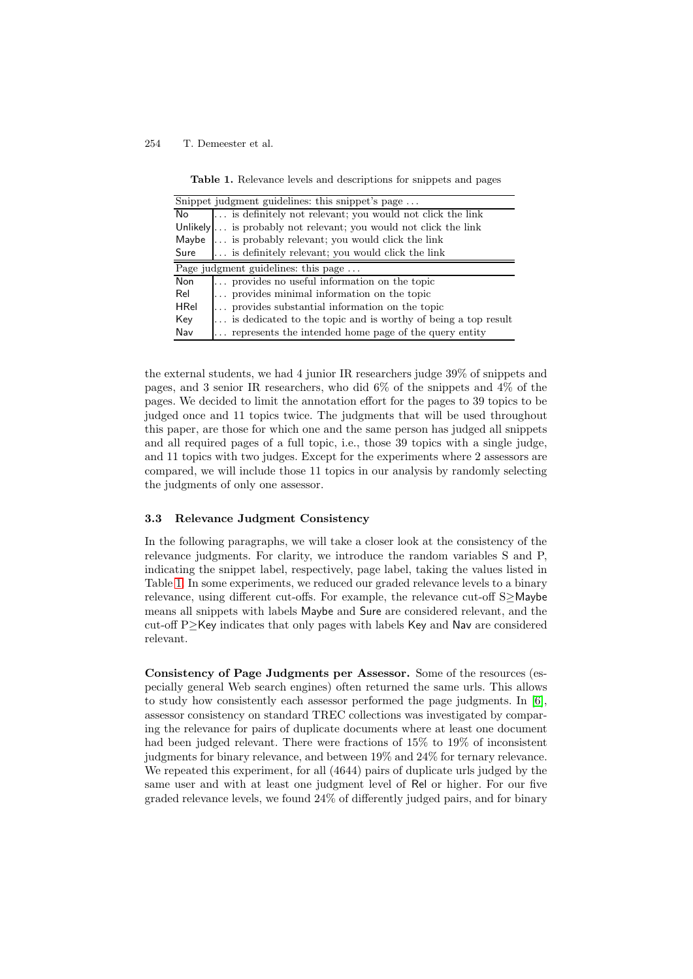**Table 1.** Relevance levels and descriptions for snippets and pages

<span id="page-4-0"></span>

|             | Snippet judgment guidelines: this snippet's page                |
|-------------|-----------------------------------------------------------------|
| No          | is definitely not relevant; you would not click the link        |
|             | Unlikely is probably not relevant; you would not click the link |
|             | Maybe  is probably relevant; you would click the link           |
| Sure        | is definitely relevant; you would click the link                |
|             | Page judgment guidelines: this page $\dots$                     |
| <b>Non</b>  | provides no useful information on the topic                     |
| Rel         | provides minimal information on the topic                       |
| <b>HRel</b> | provides substantial information on the topic                   |
| Key         | is dedicated to the topic and is worthy of being a top result   |
| Nav         | represents the intended home page of the query entity           |

the external students, we had 4 junior IR researchers judge 39% of snippets and pages, and 3 senior IR researchers, who did 6% of the snippets and 4% of the pages. We decided to limit the annotation effort for the pages to 39 topics to be judged once and 11 topics twice. The judgments that will be used throughout this paper, are those for which one and the same person has judged all snippets and all required pages of a full topic, i.e., those 39 topics with a single judge, and 11 topics with two judges. Except for the experiments where 2 assessors are compared, we will include those 11 topics in our analysis by randomly selecting the judgments of only one assessor.

#### **3.3 Relevance Judgment Consistency**

In the following paragraphs, we will take a closer look at the consistency of the relevance judgments. For clarity, we introduce the random variables S and P, indicating the snippet label, respectively, page label, taking the values listed in Table [1.](#page-4-0) In some experiments, we reduced our graded relevance levels to a binary relevance, using different cut-offs. For example, the relevance cut-off S≥Maybe means all snippets with labels Maybe and Sure are considered relevant, and the cut-off P≥Key indicates that only pages with labels Key and Nav are considered relevant.

**Consistency of Page Judgments per Assessor.** Some of the resources (especially general Web search engines) often returned the same urls. This allows to study how consistently each assessor performed the page judgments. In [\[6\]](#page-11-6), assessor consistency on standard TREC collections was investigated by comparing the relevance for pairs of duplicate documents where at least one document had been judged relevant. There were fractions of 15% to 19% of inconsistent judgments for binary relevance, and between 19% and 24% for ternary relevance. We repeated this experiment, for all  $(4644)$  pairs of duplicate urls judged by the same user and with at least one judgment level of Rel or higher. For our five graded relevance levels, we found 24% of differently judged pairs, and for binary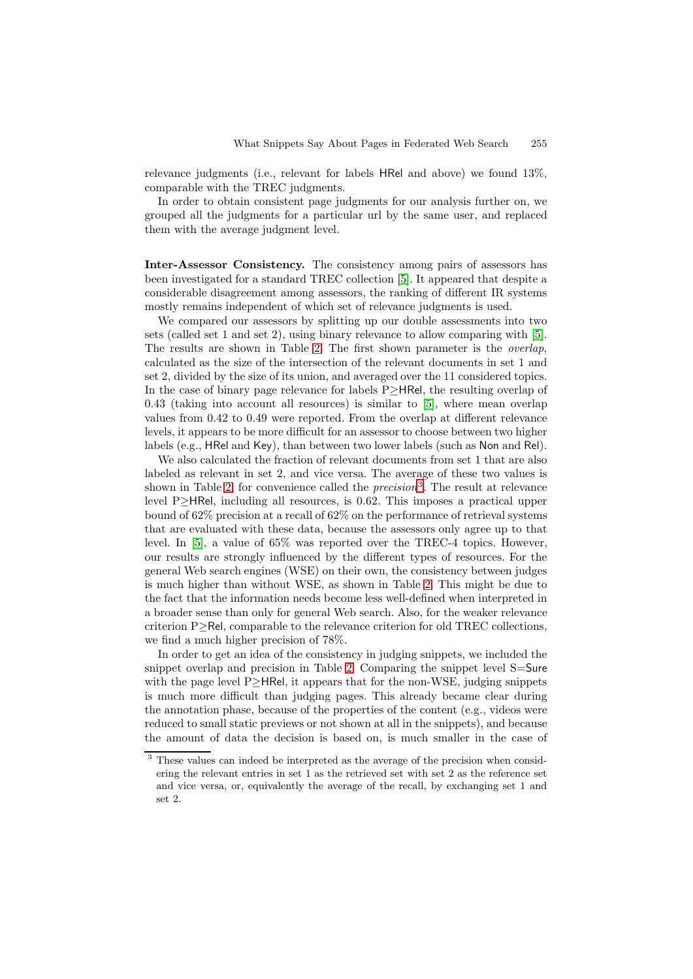relevance judgments (i.e., relevant for labels HRel and above) we found 13%, comparable with the TREC judgments.

In order to obtain consistent page judgments for our analysis further on, we grouped all the judgments for a particular url by the same user, and replaced them with the average judgment level.

**Inter-Assessor Consistency.** The consistency among pairs of assessors has been investigated for a standard TREC collection [\[5\]](#page-11-5). It appeared that despite a considerable disagreement among assessors, the ranking of different IR systems mostly remains independent of which set of relevance judgments is used.

We compared our assessors by splitting up our double assessments into two sets (called set 1 and set 2), using binary relevance to allow comparing with [\[5\]](#page-11-5). The results are shown in Table [2.](#page-6-0) The first shown parameter is the *overlap*, calculated as the size of the intersection of the relevant documents in set 1 and set 2, divided by the size of its union, and averaged over the 11 considered topics. In the case of binary page relevance for labels P≥HRel, the resulting overlap of 0.43 (taking into account all resources) is similar to [\[5\]](#page-11-5), where mean overlap values from 0.42 to 0.49 were reported. From the overlap at different relevance levels, it appears to be more difficult for an assessor to choose between two higher labels (e.g., HRel and Key), than between two lower labels (such as Non and Rel).

We also calculated the fraction of relevant documents from set 1 that are also labeled as relevant in set 2, and vice versa. The average of these two values is shown in Table [2,](#page-6-0) for convenience called the *precision*[3](#page-5-0). The result at relevance level P≥HRel, including all resources, is 0.62. This imposes a practical upper bound of 62% precision at a recall of 62% on the performance of retrieval systems that are evaluated with these data, because the assessors only agree up to that level. In [\[5\]](#page-11-5), a value of 65% was reported over the TREC-4 topics. However, our results are strongly influenced by the different types of resources. For the general Web search engines (WSE) on their own, the consistency between judges is much higher than without WSE, as shown in Table [2.](#page-6-0) This might be due to the fact that the information needs become less well-defined when interpreted in a broader sense than only for general Web search. Also, for the weaker relevance criterion P≥Rel, comparable to the relevance criterion for old TREC collections, we find a much higher precision of 78%.

In order to get an idea of the consistency in judging snippets, we included the snippet overlap and precision in Table [2.](#page-6-0) Comparing the snippet level S=Sure with the page level P $\geq$ HRel, it appears that for the non-WSE, judging snippets is much more difficult than judging pages. This already became clear during the annotation phase, because of the properties of the content (e.g., videos were reduced to small static previews or not shown at all in the snippets), and because the amount of data the decision is based on, is much smaller in the case of

<span id="page-5-0"></span><sup>&</sup>lt;sup>3</sup> These values can indeed be interpreted as the average of the precision when considering the relevant entries in set 1 as the retrieved set with set 2 as the reference set and vice versa, or, equivalently the average of the recall, by exchanging set 1 and set 2.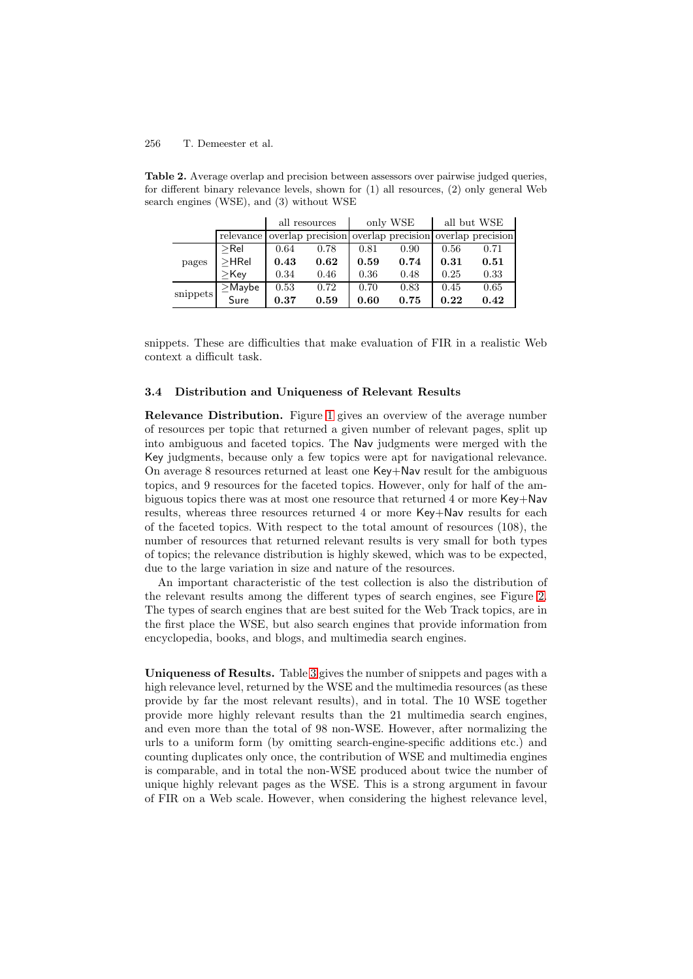|          |              | all resources |      | only WSE |                                                       | all but WSE |      |
|----------|--------------|---------------|------|----------|-------------------------------------------------------|-------------|------|
|          | relevance    |               |      |          | overlap precision overlap precision overlap precision |             |      |
| pages    | $>$ Rel      | 0.64          | 0.78 | 0.81     | 0.90                                                  | 0.56        | 0.71 |
|          | $>$ HRel     | 0.43          | 0.62 | 0.59     | 0.74                                                  | 0.31        | 0.51 |
|          | $>$ Kev      | 0.34          | 0.46 | 0.36     | 0.48                                                  | 0.25        | 0.33 |
| snippets | $\geq$ Maybe | 0.53          | 0.72 | 0.70     | 0.83                                                  | 0.45        | 0.65 |
|          | Sure         | 0.37          | 0.59 | 0.60     | 0.75                                                  | 0.22        | 0.42 |

<span id="page-6-0"></span>**Table 2.** Average overlap and precision between assessors over pairwise judged queries, for different binary relevance levels, shown for (1) all resources, (2) only general Web search engines (WSE), and (3) without WSE

snippets. These are difficulties that make evaluation of FIR in a realistic Web context a difficult task.

#### **3.4 Distribution and Uniqueness of Relevant Results**

**Relevance Distribution.** Figure [1](#page-7-0) gives an overview of the average number of resources per topic that returned a given number of relevant pages, split up into ambiguous and faceted topics. The Nav judgments were merged with the Key judgments, because only a few topics were apt for navigational relevance. On average 8 resources returned at least one Key+Nav result for the ambiguous topics, and 9 resources for the faceted topics. However, only for half of the ambiguous topics there was at most one resource that returned 4 or more Key+Nav results, whereas three resources returned 4 or more Key+Nav results for each of the faceted topics. With respect to the total amount of resources (108), the number of resources that returned relevant results is very small for both types of topics; the relevance distribution is highly skewed, which was to be expected, due to the large variation in size and nature of the resources.

An important characteristic of the test collection is also the distribution of the relevant results among the different types of search engines, see Figure [2.](#page-7-1) The types of search engines that are best suited for the Web Track topics, are in the first place the WSE, but also search engines that provide information from encyclopedia, books, and blogs, and multimedia search engines.

**Uniqueness of Results.** Table [3](#page-7-2) gives the number of snippets and pages with a high relevance level, returned by the WSE and the multimedia resources (as these provide by far the most relevant results), and in total. The 10 WSE together provide more highly relevant results than the 21 multimedia search engines, and even more than the total of 98 non-WSE. However, after normalizing the urls to a uniform form (by omitting search-engine-specific additions etc.) and counting duplicates only once, the contribution of WSE and multimedia engines is comparable, and in total the non-WSE produced about twice the number of unique highly relevant pages as the WSE. This is a strong argument in favour of FIR on a Web scale. However, when considering the highest relevance level,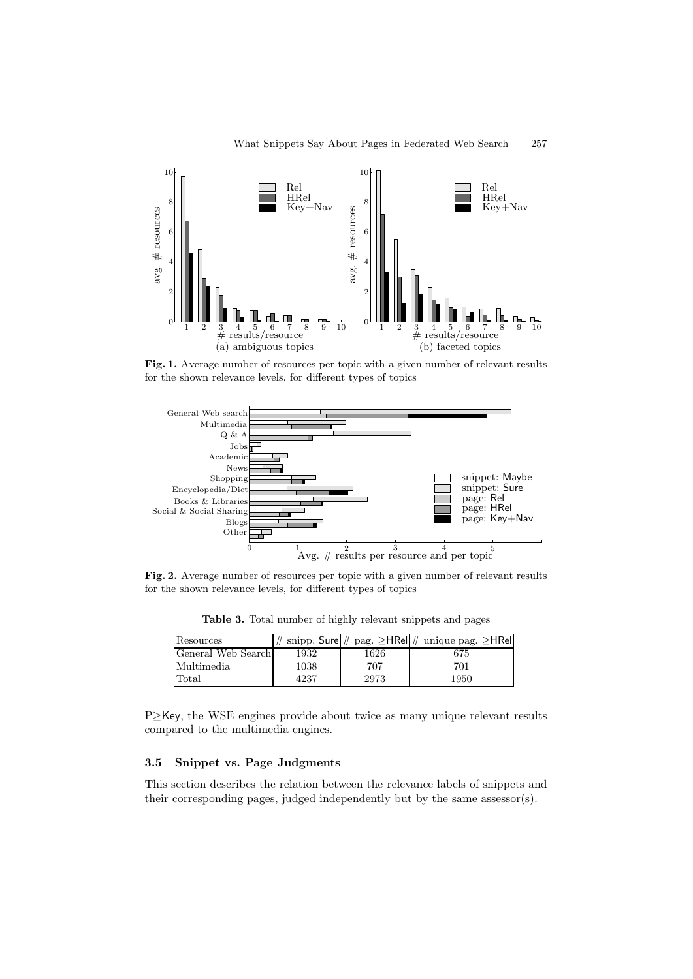<span id="page-7-0"></span>

Fig. 1. Average number of resources per topic with a given number of relevant results for the shown relevance levels, for different types of topics

<span id="page-7-1"></span>

<span id="page-7-2"></span>Fig. 2. Average number of resources per topic with a given number of relevant results for the shown relevance levels, for different types of topics

**Table 3.** Total number of highly relevant snippets and pages

| Resources          |      |      | # snipp. Sure # pag. ≥HRel # unique pag. ≥HRel |
|--------------------|------|------|------------------------------------------------|
| General Web Search | 1932 | 1626 | 675                                            |
| Multimedia         | 1038 | 707  | 701                                            |
| $\text{Total}$     | 4237 | 2973 | 1950                                           |

P≥Key, the WSE engines provide about twice as many unique relevant results compared to the multimedia engines.

## **3.5 Snippet vs. Page Judgments**

This section describes the relation between the relevance labels of snippets and their corresponding pages, judged independently but by the same assessor(s).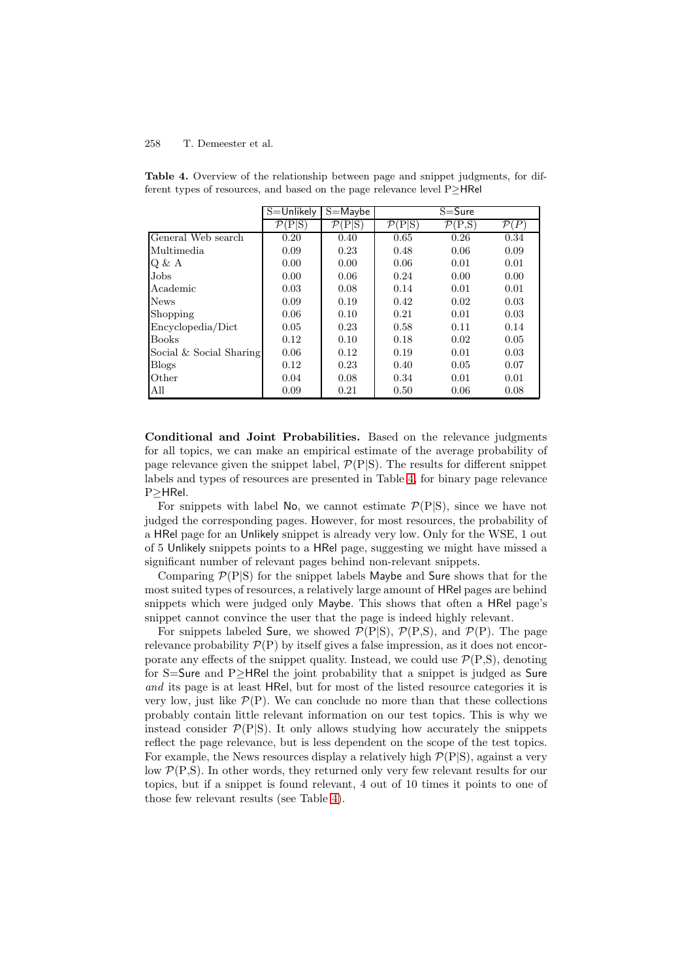|                         | $S =$ Unlikely                   | $S =$ Maybe                      | $S = S$ ure                      |                                  |                  |
|-------------------------|----------------------------------|----------------------------------|----------------------------------|----------------------------------|------------------|
|                         | $\mathcal{P}(\text{P} \text{S})$ | $\mathcal{P}(\text{P} \text{S})$ | $\mathcal{P}(\text{P} \text{S})$ | $\mathcal{P}(\text{P},\text{S})$ | $\mathcal{P}(P)$ |
| General Web search      | 0.20                             | 0.40                             | 0.65                             | 0.26                             | 0.34             |
| Multimedia              | 0.09                             | 0.23                             | 0.48                             | 0.06                             | 0.09             |
| Q & A                   | 0.00                             | 0.00                             | 0.06                             | 0.01                             | 0.01             |
| Jobs                    | 0.00                             | 0.06                             | 0.24                             | 0.00                             | 0.00             |
| Academic                | 0.03                             | 0.08                             | 0.14                             | 0.01                             | 0.01             |
| <b>News</b>             | 0.09                             | 0.19                             | 0.42                             | 0.02                             | 0.03             |
| Shopping                | 0.06                             | 0.10                             | 0.21                             | 0.01                             | 0.03             |
| Encyclopedia/Dict       | 0.05                             | 0.23                             | 0.58                             | 0.11                             | 0.14             |
| <b>Books</b>            | 0.12                             | 0.10                             | 0.18                             | 0.02                             | 0.05             |
| Social & Social Sharing | 0.06                             | 0.12                             | 0.19                             | 0.01                             | 0.03             |
| <b>Blogs</b>            | 0.12                             | 0.23                             | 0.40                             | 0.05                             | 0.07             |
| Other                   | 0.04                             | 0.08                             | 0.34                             | 0.01                             | 0.01             |
| All                     | 0.09                             | 0.21                             | 0.50                             | 0.06                             | 0.08             |

<span id="page-8-0"></span>**Table 4.** Overview of the relationship between page and snippet judgments, for different types of resources, and based on the page relevance level P≥HRel

**Conditional and Joint Probabilities.** Based on the relevance judgments for all topics, we can make an empirical estimate of the average probability of page relevance given the snippet label,  $\mathcal{P}(P|S)$ . The results for different snippet labels and types of resources are presented in Table [4,](#page-8-0) for binary page relevance P≥HRel.

For snippets with label No, we cannot estimate  $\mathcal{P}(P|S)$ , since we have not judged the corresponding pages. However, for most resources, the probability of a HRel page for an Unlikely snippet is already very low. Only for the WSE, 1 out of 5 Unlikely snippets points to a HRel page, suggesting we might have missed a significant number of relevant pages behind non-relevant snippets.

Comparing  $\mathcal{P}(P|S)$  for the snippet labels Maybe and Sure shows that for the most suited types of resources, a relatively large amount of HRel pages are behind snippets which were judged only Maybe. This shows that often a HRel page's snippet cannot convince the user that the page is indeed highly relevant.

For snippets labeled Sure, we showed  $P(P|S)$ ,  $P(P,S)$ , and  $P(P)$ . The page relevance probability  $\mathcal{P}(P)$  by itself gives a false impression, as it does not encorporate any effects of the snippet quality. Instead, we could use  $\mathcal{P}(P,S)$ , denoting for S=Sure and P≥HRel the joint probability that a snippet is judged as Sure *and* its page is at least HRel, but for most of the listed resource categories it is very low, just like  $\mathcal{P}(P)$ . We can conclude no more than that these collections probably contain little relevant information on our test topics. This is why we instead consider  $\mathcal{P}(P|S)$ . It only allows studying how accurately the snippets reflect the page relevance, but is less dependent on the scope of the test topics. For example, the News resources display a relatively high  $\mathcal{P}(P|S)$ , against a very low P(P*,*S). In other words, they returned only very few relevant results for our topics, but if a snippet is found relevant, 4 out of 10 times it points to one of those few relevant results (see Table [4\)](#page-8-0).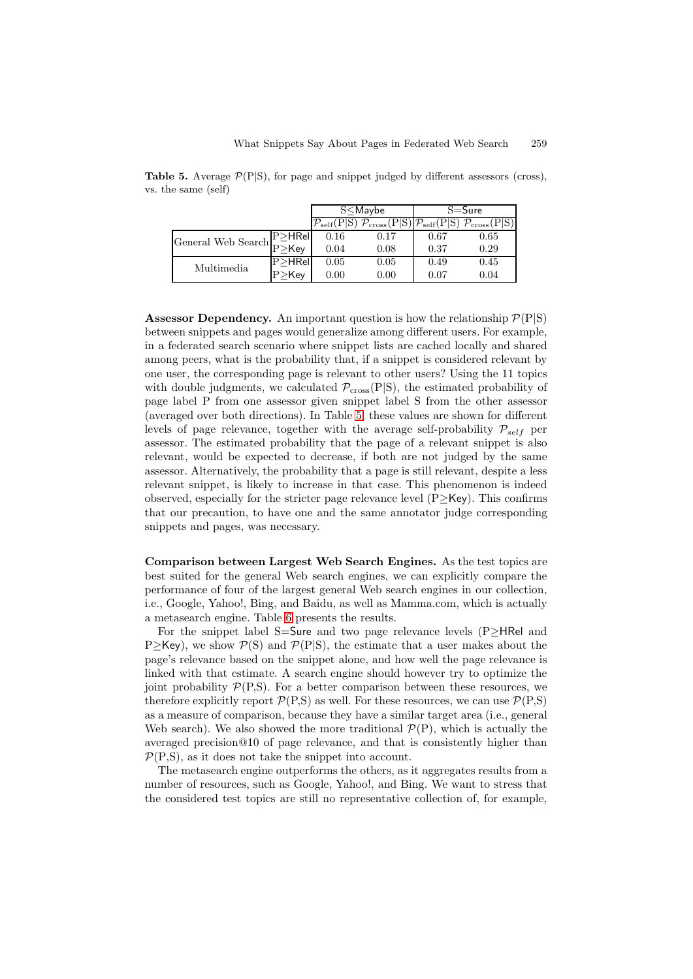<span id="page-9-0"></span>**Table 5.** Average  $\mathcal{P}(P|S)$ , for page and snippet judged by different assessors (cross), vs. the same (self)

|                                                                 |             | $S<$ Maybe                     |                           | $S = S$ ure                  |                         |  |
|-----------------------------------------------------------------|-------------|--------------------------------|---------------------------|------------------------------|-------------------------|--|
|                                                                 |             | $\mathcal{V}_{\text{self}}(r)$ | $\epsilon$ cross $\Gamma$ | $\gamma_{\rm self}({\rm P})$ | $\not P_{\rm cross}(P)$ |  |
|                                                                 | $P > H$ Rel | 0.16                           | 0.17                      | 0.67                         | 0.65                    |  |
| General Web Search $\Gamma_{P\geq \mathsf{Key}}^{\mathsf{new}}$ |             | 0.04                           | 0.08                      | 0.37                         | 0.29                    |  |
| Multimedia                                                      | $P > H$ Rel | 0.05                           | 0.05                      | 0.49                         | 0.45                    |  |
|                                                                 | $P >$ Kev   | $0.00\,$                       | 0.00                      | 0.07                         | 0.04                    |  |

**Assessor Dependency.** An important question is how the relationship  $\mathcal{P}(P|S)$ between snippets and pages would generalize among different users. For example, in a federated search scenario where snippet lists are cached locally and shared among peers, what is the probability that, if a snippet is considered relevant by one user, the corresponding page is relevant to other users? Using the 11 topics with double judgments, we calculated  $\mathcal{P}_{\text{cross}}(P|S)$ , the estimated probability of page label P from one assessor given snippet label S from the other assessor (averaged over both directions). In Table [5,](#page-9-0) these values are shown for different levels of page relevance, together with the average self-probability P*self* per assessor. The estimated probability that the page of a relevant snippet is also relevant, would be expected to decrease, if both are not judged by the same assessor. Alternatively, the probability that a page is still relevant, despite a less relevant snippet, is likely to increase in that case. This phenomenon is indeed observed, especially for the stricter page relevance level  $(P \geq Key)$ . This confirms that our precaution, to have one and the same annotator judge corresponding snippets and pages, was necessary.

**Comparison between Largest Web Search Engines.** As the test topics are best suited for the general Web search engines, we can explicitly compare the performance of four of the largest general Web search engines in our collection, i.e., Google, Yahoo!, Bing, and Baidu, as well as Mamma.com, which is actually a metasearch engine. Table [6](#page-10-0) presents the results.

For the snippet label S=Sure and two page relevance levels (P≥HRel and P>Key), we show  $P(S)$  and  $P(P|S)$ , the estimate that a user makes about the page's relevance based on the snippet alone, and how well the page relevance is linked with that estimate. A search engine should however try to optimize the joint probability  $\mathcal{P}(P,S)$ . For a better comparison between these resources, we therefore explicitly report  $\mathcal{P}(P,S)$  as well. For these resources, we can use  $\mathcal{P}(P,S)$ as a measure of comparison, because they have a similar target area (i.e., general Web search). We also showed the more traditional  $\mathcal{P}(P)$ , which is actually the averaged precision@10 of page relevance, and that is consistently higher than  $P(P,S)$ , as it does not take the snippet into account.

The metasearch engine outperforms the others, as it aggregates results from a number of resources, such as Google, Yahoo!, and Bing. We want to stress that the considered test topics are still no representative collection of, for example,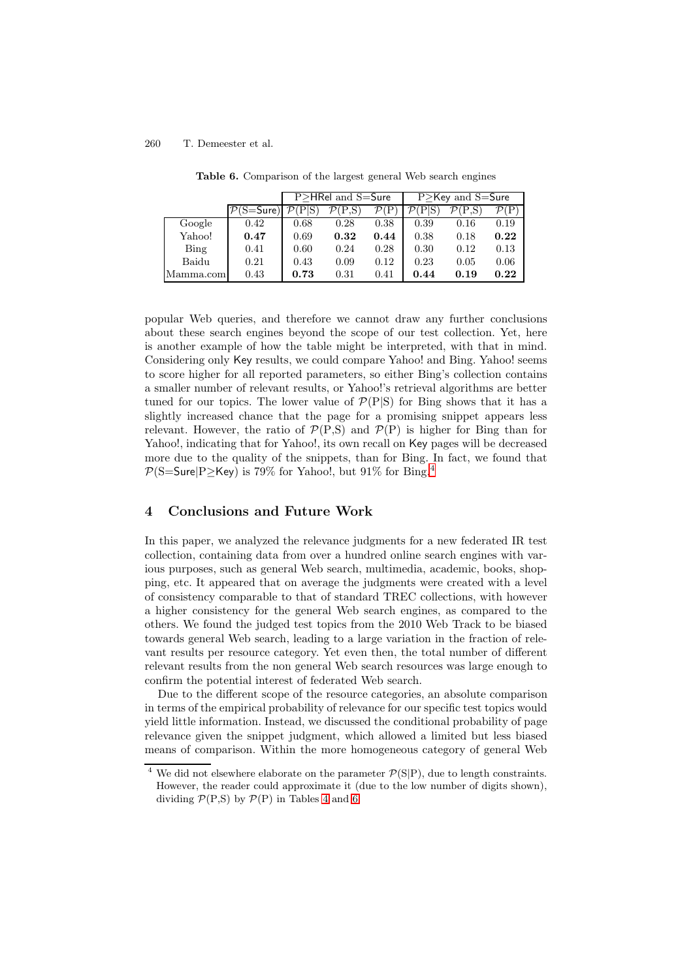<span id="page-10-0"></span>

|           |             | P>HRel and S=Sure |      |      | $P >$ Key and S=Sure |      |      |  |
|-----------|-------------|-------------------|------|------|----------------------|------|------|--|
|           | $P(S=Sure)$ |                   |      |      |                      |      |      |  |
| Google    | 0.42        | 0.68              | 0.28 | 0.38 | 0.39                 | 0.16 | 0.19 |  |
| Yahoo!    | 0.47        | 0.69              | 0.32 | 0.44 | 0.38                 | 0.18 | 0.22 |  |
| Bing      | 0.41        | 0.60              | 0.24 | 0.28 | 0.30                 | 0.12 | 0.13 |  |
| Baidu     | 0.21        | 0.43              | 0.09 | 0.12 | 0.23                 | 0.05 | 0.06 |  |
| Mamma.com | 0.43        | 0.73              | 0.31 | 0.41 | 0.44                 | 0.19 | 0.22 |  |

**Table 6.** Comparison of the largest general Web search engines

popular Web queries, and therefore we cannot draw any further conclusions about these search engines beyond the scope of our test collection. Yet, here is another example of how the table might be interpreted, with that in mind. Considering only Key results, we could compare Yahoo! and Bing. Yahoo! seems to score higher for all reported parameters, so either Bing's collection contains a smaller number of relevant results, or Yahoo!'s retrieval algorithms are better tuned for our topics. The lower value of  $\mathcal{P}(P|S)$  for Bing shows that it has a slightly increased chance that the page for a promising snippet appears less relevant. However, the ratio of  $\mathcal{P}(P,S)$  and  $\mathcal{P}(P)$  is higher for Bing than for Yahoo!, indicating that for Yahoo!, its own recall on Key pages will be decreased more due to the quality of the snippets, than for Bing. In fact, we found that  $P(S=Sure|P\geq$ Key) is 79% for Yahoo!, but 91% for Bing.<sup>[4](#page-10-1)</sup>

## **4 Conclusions and Future Work**

In this paper, we analyzed the relevance judgments for a new federated IR test collection, containing data from over a hundred online search engines with various purposes, such as general Web search, multimedia, academic, books, shopping, etc. It appeared that on average the judgments were created with a level of consistency comparable to that of standard TREC collections, with however a higher consistency for the general Web search engines, as compared to the others. We found the judged test topics from the 2010 Web Track to be biased towards general Web search, leading to a large variation in the fraction of relevant results per resource category. Yet even then, the total number of different relevant results from the non general Web search resources was large enough to confirm the potential interest of federated Web search.

Due to the different scope of the resource categories, an absolute comparison in terms of the empirical probability of relevance for our specific test topics would yield little information. Instead, we discussed the conditional probability of page relevance given the snippet judgment, which allowed a limited but less biased means of comparison. Within the more homogeneous category of general Web

<span id="page-10-1"></span><sup>&</sup>lt;sup>4</sup> We did not elsewhere elaborate on the parameter  $\mathcal{P}(S|P)$ , due to length constraints. However, the reader could approximate it (due to the low number of digits shown), dividing  $P(P,S)$  by  $P(P)$  in Tables [4](#page-8-0) and [6.](#page-10-0)